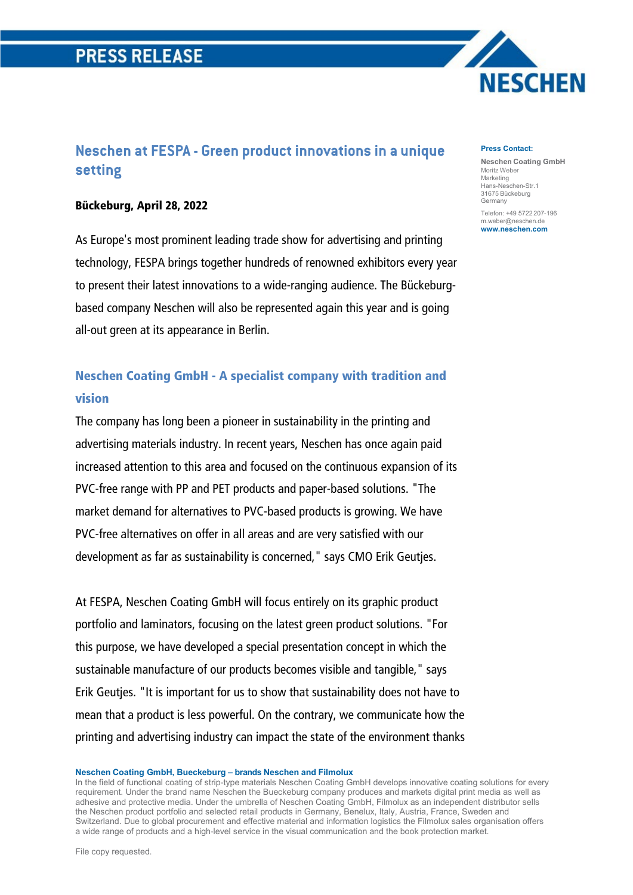# **PRESS RELEASE**

# **Neschen at FESPA - Green product innovations in a unique setting**

### Bückeburg, April 28, 2022

As Europe's most prominent leading trade show for advertising and printing technology, FESPA brings together hundreds of renowned exhibitors every year to present their latest innovations to a wide-ranging audience. The Bückeburgbased company Neschen will also be represented again this year and is going all-out green at its appearance in Berlin.

# Neschen Coating GmbH - A specialist company with tradition and vision

The company has long been a pioneer in sustainability in the printing and advertising materials industry. In recent years, Neschen has once again paid increased attention to this area and focused on the continuous expansion of its PVC-free range with PP and PET products and paper-based solutions. "The market demand for alternatives to PVC-based products is growing. We have PVC-free alternatives on offer in all areas and are very satisfied with our development as far as sustainability is concerned," says CMO Erik Geutjes.

At FESPA, Neschen Coating GmbH will focus entirely on its graphic product portfolio and laminators, focusing on the latest green product solutions. "For this purpose, we have developed a special presentation concept in which the sustainable manufacture of our products becomes visible and tangible," says Erik Geutjes. "It is important for us to show that sustainability does not have to mean that a product is less powerful. On the contrary, we communicate how the printing and advertising industry can impact the state of the environment thanks

#### **Neschen Coating GmbH, Bueckeburg – brands Neschen and Filmolux**

In the field of functional coating of strip-type materials Neschen Coating GmbH develops innovative coating solutions for every requirement. Under the brand name Neschen the Bueckeburg company produces and markets digital print media as well as adhesive and protective media. Under the umbrella of Neschen Coating GmbH, Filmolux as an independent distributor sells the Neschen product portfolio and selected retail products in Germany, Benelux, Italy, Austria, France, Sweden and Switzerland. Due to global procurement and effective material and information logistics the Filmolux sales organisation offers a wide range of products and a high-level service in the visual communication and the book protection market.

#### **Press Contact:**

**Neschen Coating GmbH** Moritz Weber Marketing Hans-Neschen-Str.1 31675 Bückeburg Germany Telefon: +49 5722 207-196 m.weber@neschen.de **[www.neschen.com](http://www.neschen.com/)**

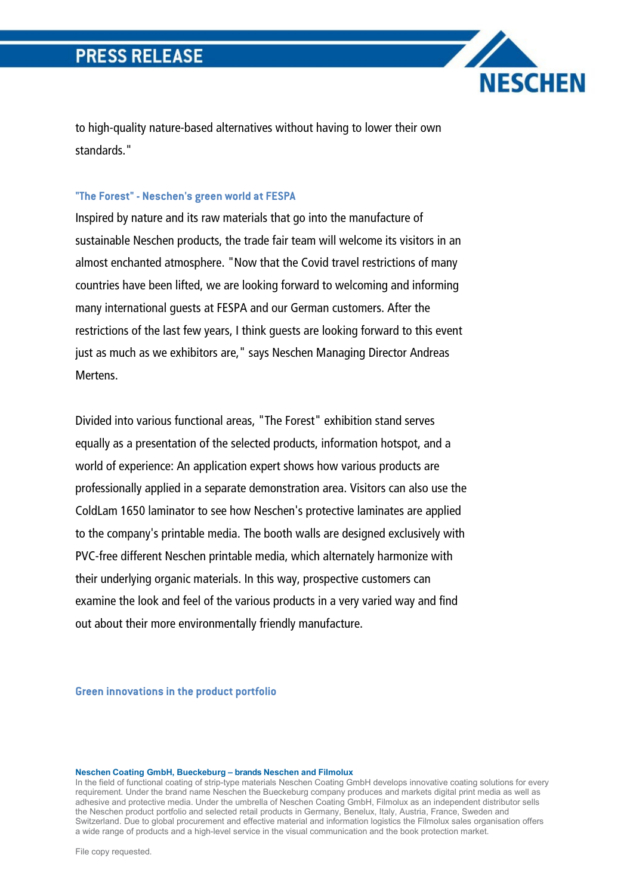to high-quality nature-based alternatives without having to lower their own standards."

**NESCHEN** 

## **"The Forest" - Neschen's green world at FESPA**

Inspired by nature and its raw materials that go into the manufacture of sustainable Neschen products, the trade fair team will welcome its visitors in an almost enchanted atmosphere. "Now that the Covid travel restrictions of many countries have been lifted, we are looking forward to welcoming and informing many international guests at FESPA and our German customers. After the restrictions of the last few years, I think guests are looking forward to this event just as much as we exhibitors are," says Neschen Managing Director Andreas Mertens.

Divided into various functional areas, "The Forest" exhibition stand serves equally as a presentation of the selected products, information hotspot, and a world of experience: An application expert shows how various products are professionally applied in a separate demonstration area. Visitors can also use the ColdLam 1650 laminator to see how Neschen's protective laminates are applied to the company's printable media. The booth walls are designed exclusively with PVC-free different Neschen printable media, which alternately harmonize with their underlying organic materials. In this way, prospective customers can examine the look and feel of the various products in a very varied way and find out about their more environmentally friendly manufacture.

**Green innovations in the product portfolio** 

#### **Neschen Coating GmbH, Bueckeburg – brands Neschen and Filmolux**

In the field of functional coating of strip-type materials Neschen Coating GmbH develops innovative coating solutions for every requirement. Under the brand name Neschen the Bueckeburg company produces and markets digital print media as well as adhesive and protective media. Under the umbrella of Neschen Coating GmbH, Filmolux as an independent distributor sells the Neschen product portfolio and selected retail products in Germany, Benelux, Italy, Austria, France, Sweden and Switzerland. Due to global procurement and effective material and information logistics the Filmolux sales organisation offers a wide range of products and a high-level service in the visual communication and the book protection market.